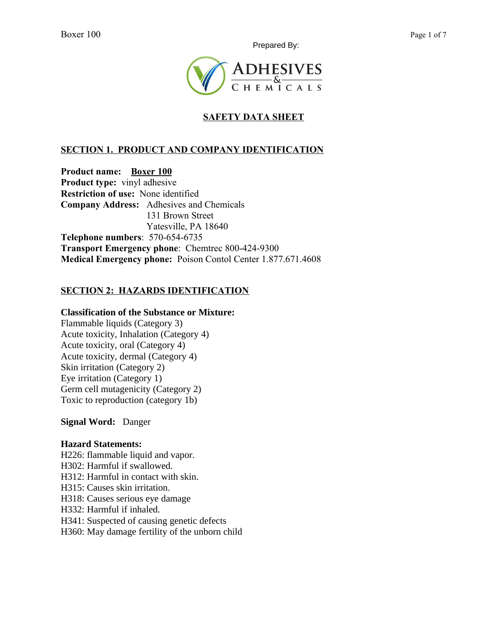Prepared By:



# **SAFETY DATA SHEET**

## **SECTION 1. PRODUCT AND COMPANY IDENTIFICATION**

**Product name: Boxer 100 Product type:** vinyl adhesive **Restriction of use:** None identified **Company Address:** Adhesives and Chemicals 131 Brown Street Yatesville, PA 18640 **Telephone numbers**: 570-654-6735 **Transport Emergency phone**: Chemtrec 800-424-9300 **Medical Emergency phone:** Poison Contol Center 1.877.671.4608

### **SECTION 2: HAZARDS IDENTIFICATION**

#### **Classification of the Substance or Mixture:**

Flammable liquids (Category 3) Acute toxicity, Inhalation (Category 4) Acute toxicity, oral (Category 4) Acute toxicity, dermal (Category 4) Skin irritation (Category 2) Eye irritation (Category 1) Germ cell mutagenicity (Category 2) Toxic to reproduction (category 1b)

#### **Signal Word:** Danger

#### **Hazard Statements:**

H226: flammable liquid and vapor. H302: Harmful if swallowed. H312: Harmful in contact with skin. H315: Causes skin irritation. H318: Causes serious eye damage H332: Harmful if inhaled. H341: Suspected of causing genetic defects H360: May damage fertility of the unborn child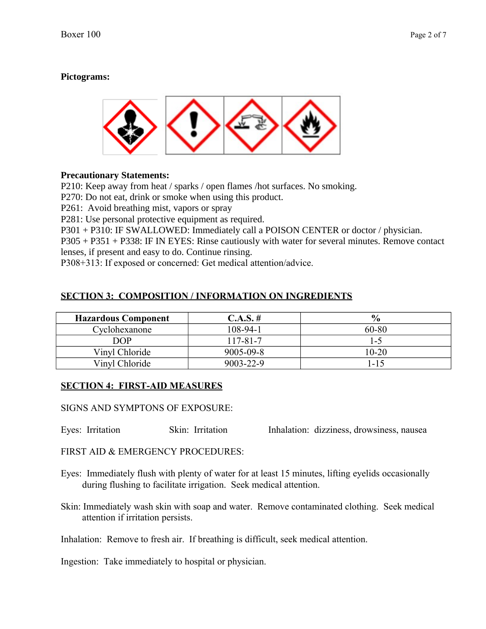## **Pictograms:**



### **Precautionary Statements:**

P210: Keep away from heat / sparks / open flames /hot surfaces. No smoking.

P270: Do not eat, drink or smoke when using this product.

P261: Avoid breathing mist, vapors or spray

P281: Use personal protective equipment as required.

P301 + P310: IF SWALLOWED: Immediately call a POISON CENTER or doctor / physician.

P305 + P351 + P338: IF IN EYES: Rinse cautiously with water for several minutes. Remove contact lenses, if present and easy to do. Continue rinsing.

P308+313: If exposed or concerned: Get medical attention/advice.

### **SECTION 3: COMPOSITION / INFORMATION ON INGREDIENTS**

| <b>Hazardous Component</b> | C.A.S. #        | $\frac{0}{0}$ |
|----------------------------|-----------------|---------------|
| Cyclohexanone              | 108-94-1        | 60-80         |
| DOP                        | $17 - 81 - 7$   | $1 - 5$       |
| Vinyl Chloride             | $9005 - 09 - 8$ | 10-20         |
| Vinyl Chloride             | $9003 - 22 - 9$ | l - 1 5       |

### **SECTION 4: FIRST-AID MEASURES**

SIGNS AND SYMPTONS OF EXPOSURE:

Eyes: Irritation Skin: Irritation Inhalation: dizziness, drowsiness, nausea

FIRST AID & EMERGENCY PROCEDURES:

- Eyes: Immediately flush with plenty of water for at least 15 minutes, lifting eyelids occasionally during flushing to facilitate irrigation. Seek medical attention.
- Skin: Immediately wash skin with soap and water. Remove contaminated clothing. Seek medical attention if irritation persists.
- Inhalation: Remove to fresh air. If breathing is difficult, seek medical attention.

Ingestion: Take immediately to hospital or physician.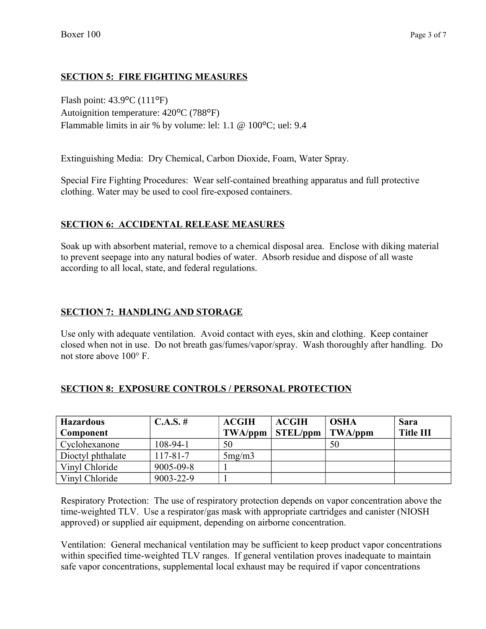### **SECTION 5: FIRE FIGHTING MEASURES**

Flash point: 43.9ºC (111ºF) Autoignition temperature: 420ºC (788ºF) Flammable limits in air % by volume: lel: 1.1 @ 100ºC; uel: 9.4

Extinguishing Media: Dry Chemical, Carbon Dioxide, Foam, Water Spray.

Special Fire Fighting Procedures: Wear self-contained breathing apparatus and full protective clothing. Water may be used to cool fire-exposed containers.

### **SECTION 6: ACCIDENTAL RELEASE MEASURES**

Soak up with absorbent material, remove to a chemical disposal area. Enclose with diking material to prevent seepage into any natural bodies of water. Absorb residue and dispose of all waste according to all local, state, and federal regulations.

### **SECTION 7: HANDLING AND STORAGE**

Use only with adequate ventilation. Avoid contact with eyes, skin and clothing. Keep container closed when not in use. Do not breath gas/fumes/vapor/spray. Wash thoroughly after handling. Do not store above 100° F.

| <b>Hazardous</b>  | $C.A.S. \#$     | <b>ACGIH</b> | <b>ACGIH</b>    | <b>OSHA</b> | Sara             |
|-------------------|-----------------|--------------|-----------------|-------------|------------------|
| Component         |                 | TWA/ppm      | <b>STEL/ppm</b> | TWA/ppm     | <b>Title III</b> |
| Cyclohexanone     | 108-94-1        | 50           |                 | 50          |                  |
| Dioctyl phthalate | $117 - 81 - 7$  | 5mg/m3       |                 |             |                  |
| Vinyl Chloride    | $9005 - 09 - 8$ |              |                 |             |                  |
| Vinyl Chloride    | 9003-22-9       |              |                 |             |                  |

#### **SECTION 8: EXPOSURE CONTROLS / PERSONAL PROTECTION**

Respiratory Protection: The use of respiratory protection depends on vapor concentration above the time-weighted TLV. Use a respirator/gas mask with appropriate cartridges and canister (NIOSH approved) or supplied air equipment, depending on airborne concentration.

Ventilation: General mechanical ventilation may be sufficient to keep product vapor concentrations within specified time-weighted TLV ranges. If general ventilation proves inadequate to maintain safe vapor concentrations, supplemental local exhaust may be required if vapor concentrations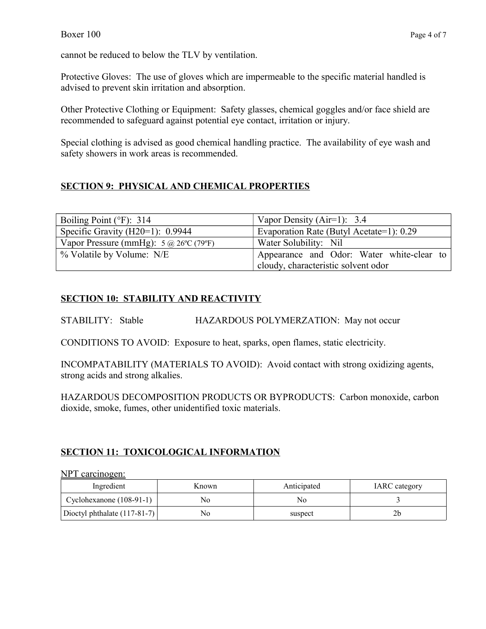cannot be reduced to below the TLV by ventilation.

Protective Gloves: The use of gloves which are impermeable to the specific material handled is advised to prevent skin irritation and absorption.

Other Protective Clothing or Equipment: Safety glasses, chemical goggles and/or face shield are recommended to safeguard against potential eye contact, irritation or injury.

Special clothing is advised as good chemical handling practice. The availability of eye wash and safety showers in work areas is recommended.

# **SECTION 9: PHYSICAL AND CHEMICAL PROPERTIES**

| Boiling Point ( $\degree$ F): 314                           | Vapor Density (Air=1): $3.4$              |  |
|-------------------------------------------------------------|-------------------------------------------|--|
| Specific Gravity (H20=1): $0.9944$                          | Evaporation Rate (Butyl Acetate=1): 0.29  |  |
| Vapor Pressure (mmHg): $5 \text{ (a) } 26^{\circ}$ C (79°F) | Water Solubility: Nil                     |  |
| % Volatile by Volume: N/E                                   | Appearance and Odor: Water white-clear to |  |
|                                                             | cloudy, characteristic solvent odor       |  |

### **SECTION 10: STABILITY AND REACTIVITY**

STABILITY: Stable HAZARDOUS POLYMERZATION: May not occur

CONDITIONS TO AVOID: Exposure to heat, sparks, open flames, static electricity.

INCOMPATABILITY (MATERIALS TO AVOID): Avoid contact with strong oxidizing agents, strong acids and strong alkalies.

HAZARDOUS DECOMPOSITION PRODUCTS OR BYPRODUCTS: Carbon monoxide, carbon dioxide, smoke, fumes, other unidentified toxic materials.

### **SECTION 11: TOXICOLOGICAL INFORMATION**

NPT carcinogen:

| Ingredient                     | Known | Anticipated | <b>IARC</b> category |
|--------------------------------|-------|-------------|----------------------|
| Cyclohexanone $(108-91-1)$     | No    | No          |                      |
| Dioctyl phthalate $(117-81-7)$ | No    | suspect     |                      |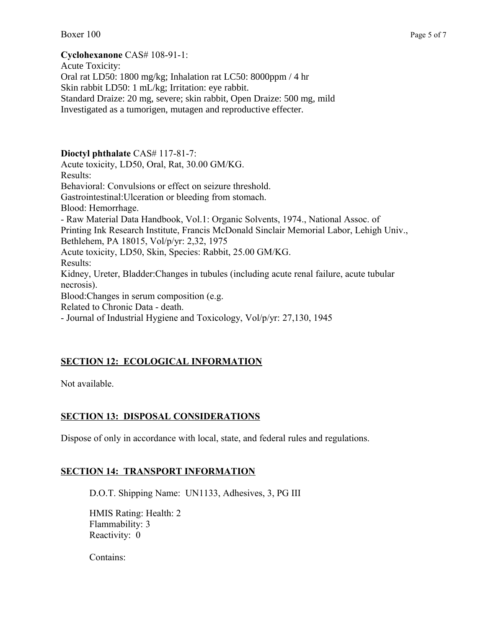#### **Cyclohexanone** CAS# 108-91-1:

Acute Toxicity: Oral rat LD50: 1800 mg/kg; Inhalation rat LC50: 8000ppm / 4 hr Skin rabbit LD50: 1 mL/kg; Irritation: eye rabbit. Standard Draize: 20 mg, severe; skin rabbit, Open Draize: 500 mg, mild Investigated as a tumorigen, mutagen and reproductive effecter.

**Dioctyl phthalate** CAS# 117-81-7: Acute toxicity, LD50, Oral, Rat, 30.00 GM/KG. Results: Behavioral: Convulsions or effect on seizure threshold. Gastrointestinal:Ulceration or bleeding from stomach. Blood: Hemorrhage. - Raw Material Data Handbook, Vol.1: Organic Solvents, 1974., National Assoc. of Printing Ink Research Institute, Francis McDonald Sinclair Memorial Labor, Lehigh Univ., Bethlehem, PA 18015, Vol/p/yr: 2,32, 1975 Acute toxicity, LD50, Skin, Species: Rabbit, 25.00 GM/KG. Results: Kidney, Ureter, Bladder:Changes in tubules (including acute renal failure, acute tubular necrosis). Blood:Changes in serum composition (e.g. Related to Chronic Data - death. - Journal of Industrial Hygiene and Toxicology, Vol/p/yr: 27,130, 1945

# **SECTION 12: ECOLOGICAL INFORMATION**

Not available.

### **SECTION 13: DISPOSAL CONSIDERATIONS**

Dispose of only in accordance with local, state, and federal rules and regulations.

### **SECTION 14: TRANSPORT INFORMATION**

D.O.T. Shipping Name: UN1133, Adhesives, 3, PG III

HMIS Rating: Health: 2 Flammability: 3 Reactivity: 0

Contains: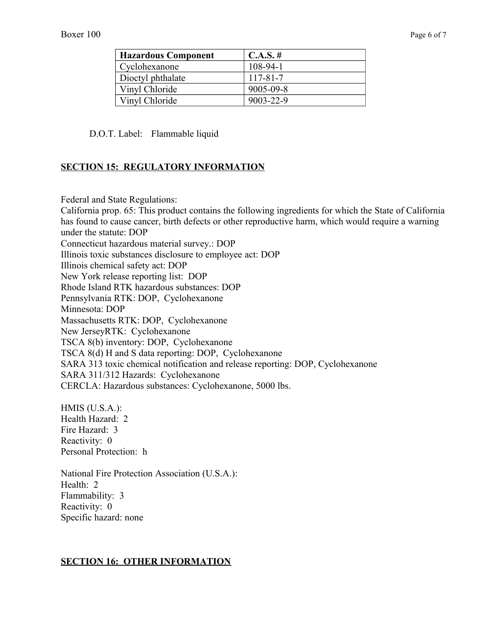| <b>Hazardous Component</b> | $C.A.S. \#$ |
|----------------------------|-------------|
| Cyclohexanone              | $108-94-1$  |
| Dioctyl phthalate          | 117-81-7    |
| Vinyl Chloride             | 9005-09-8   |
| Vinyl Chloride             | 9003-22-9   |

D.O.T. Label: Flammable liquid

#### **SECTION 15: REGULATORY INFORMATION**

Federal and State Regulations:

California prop. 65: This product contains the following ingredients for which the State of California has found to cause cancer, birth defects or other reproductive harm, which would require a warning under the statute: DOP Connecticut hazardous material survey.: DOP Illinois toxic substances disclosure to employee act: DOP Illinois chemical safety act: DOP New York release reporting list: DOP Rhode Island RTK hazardous substances: DOP Pennsylvania RTK: DOP, Cyclohexanone Minnesota: DOP Massachusetts RTK: DOP, Cyclohexanone New JerseyRTK: Cyclohexanone TSCA 8(b) inventory: DOP, Cyclohexanone TSCA 8(d) H and S data reporting: DOP, Cyclohexanone SARA 313 toxic chemical notification and release reporting: DOP, Cyclohexanone SARA 311/312 Hazards: Cyclohexanone CERCLA: Hazardous substances: Cyclohexanone, 5000 lbs.

HMIS (U.S.A.): Health Hazard: 2 Fire Hazard: 3 Reactivity: 0 Personal Protection: h

National Fire Protection Association (U.S.A.): Health: 2 Flammability: 3 Reactivity: 0 Specific hazard: none

#### **SECTION 16: OTHER INFORMATION**